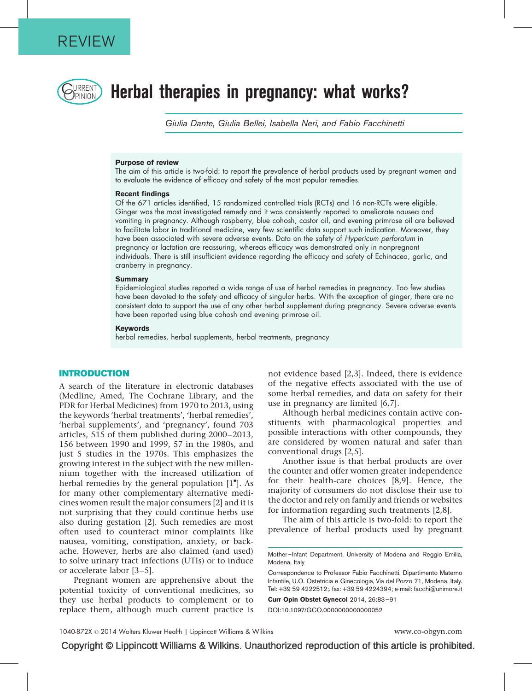

# $P$ RRENT Herbal therapies in pregnancy: what works?

Giulia Dante, Giulia Bellei, Isabella Neri, and Fabio Facchinetti

## Purpose of review

The aim of this article is two-fold: to report the prevalence of herbal products used by pregnant women and to evaluate the evidence of efficacy and safety of the most popular remedies.

#### Recent findings

Of the 671 articles identified, 15 randomized controlled trials (RCTs) and 16 non-RCTs were eligible. Ginger was the most investigated remedy and it was consistently reported to ameliorate nausea and vomiting in pregnancy. Although raspberry, blue cohosh, castor oil, and evening primrose oil are believed to facilitate labor in traditional medicine, very few scientific data support such indication. Moreover, they have been associated with severe adverse events. Data on the safety of Hypericum perforatum in pregnancy or lactation are reassuring, whereas efficacy was demonstrated only in nonpregnant individuals. There is still insufficient evidence regarding the efficacy and safety of Echinacea, garlic, and cranberry in pregnancy.

#### **Summary**

Epidemiological studies reported a wide range of use of herbal remedies in pregnancy. Too few studies have been devoted to the safety and efficacy of singular herbs. With the exception of ginger, there are no consistent data to support the use of any other herbal supplement during pregnancy. Severe adverse events have been reported using blue cohosh and evening primrose oil.

#### Keywords

herbal remedies, herbal supplements, herbal treatments, pregnancy

#### INTRODUCTION

A search of the literature in electronic databases (Medline, Amed, The Cochrane Library, and the PDR for Herbal Medicines) from 1970 to 2013, using the keywords 'herbal treatments', 'herbal remedies', 'herbal supplements', and 'pregnancy', found 703 articles, 515 of them published during 2000–2013, 156 between 1990 and 1999, 57 in the 1980s, and just 5 studies in the 1970s. This emphasizes the growing interest in the subject with the new millennium together with the increased utilization of herbal remedies by the general population  $[1<sup>*</sup>]$  $[1<sup>*</sup>]$  $[1<sup>*</sup>]$ . As for many other complementary alternative medicines women result the major consumers [\[2\]](#page-7-0) and it is not surprising that they could continue herbs use also during gestation [\[2\]](#page-7-0). Such remedies are most often used to counteract minor complaints like nausea, vomiting, constipation, anxiety, or backache. However, herbs are also claimed (and used) to solve urinary tract infections (UTIs) or to induce or accelerate labor [\[3–5\].](#page-7-0)

Pregnant women are apprehensive about the potential toxicity of conventional medicines, so they use herbal products to complement or to replace them, although much current practice is not evidence based [\[2,3\].](#page-7-0) Indeed, there is evidence of the negative effects associated with the use of some herbal remedies, and data on safety for their use in pregnancy are limited [\[6,7\].](#page-7-0)

Although herbal medicines contain active constituents with pharmacological properties and possible interactions with other compounds, they are considered by women natural and safer than conventional drugs [\[2,5\].](#page-7-0)

Another issue is that herbal products are over the counter and offer women greater independence for their health-care choices [\[8,9\]](#page-7-0). Hence, the majority of consumers do not disclose their use to the doctor and rely on family and friends or websites for information regarding such treatments [\[2,8\].](#page-7-0)

The aim of this article is two-fold: to report the prevalence of herbal products used by pregnant

Curr Opin Obstet Gynecol 2014, 26:83–91 DOI:10.1097/GCO.0000000000000052

Mother–Infant Department, University of Modena and Reggio Emilia, Modena, Italy

Correspondence to Professor Fabio Facchinetti, Dipartimento Materno Infantile, U.O. Ostetricia e Ginecologia, Via del Pozzo 71, Modena, Italy. Tel: +39 59 4222512;. fax: +39 59 4224394; e-mail: [facchi@unimore.it](mailto:facchi@unimore.it)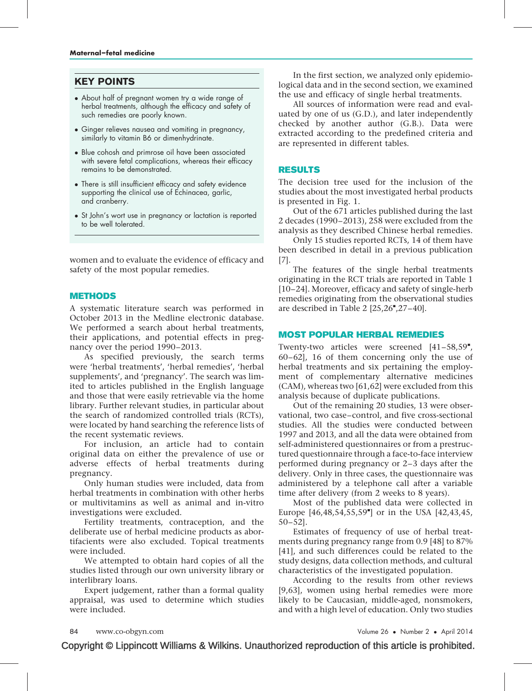# KEY POINTS

- About half of pregnant women try a wide range of herbal treatments, although the efficacy and safety of such remedies are poorly known.
- Ginger relieves nausea and vomiting in pregnancy, similarly to vitamin B6 or dimenhydrinate.
- Blue cohosh and primrose oil have been associated with severe fetal complications, whereas their efficacy remains to be demonstrated.
- There is still insufficient efficacy and safety evidence supporting the clinical use of Echinacea, garlic, and cranberry.
- St John's wort use in pregnancy or lactation is reported to be well tolerated.

women and to evaluate the evidence of efficacy and safety of the most popular remedies.

# **METHODS**

A systematic literature search was performed in October 2013 in the Medline electronic database. We performed a search about herbal treatments, their applications, and potential effects in pregnancy over the period 1990–2013.

As specified previously, the search terms were 'herbal treatments', 'herbal remedies', 'herbal supplements', and 'pregnancy'. The search was limited to articles published in the English language and those that were easily retrievable via the home library. Further relevant studies, in particular about the search of randomized controlled trials (RCTs), were located by hand searching the reference lists of the recent systematic reviews.

For inclusion, an article had to contain original data on either the prevalence of use or adverse effects of herbal treatments during pregnancy.

Only human studies were included, data from herbal treatments in combination with other herbs or multivitamins as well as animal and in-vitro investigations were excluded.

Fertility treatments, contraception, and the deliberate use of herbal medicine products as abortifacients were also excluded. Topical treatments were included.

We attempted to obtain hard copies of all the studies listed through our own university library or interlibrary loans.

Expert judgement, rather than a formal quality appraisal, was used to determine which studies were included.

In the first section, we analyzed only epidemiological data and in the second section, we examined the use and efficacy of single herbal treatments.

All sources of information were read and evaluated by one of us (G.D.), and later independently checked by another author (G.B.). Data were extracted according to the predefined criteria and are represented in different tables.

#### RESULTS

The decision tree used for the inclusion of the studies about the most investigated herbal products is presented in Fig. 1.

Out of the 671 articles published during the last 2 decades (1990–2013), 258 were excluded from the analysis as they described Chinese herbal remedies.

Only 15 studies reported RCTs, 14 of them have been described in detail in a previous publication [\[7\]](#page-7-0).

The features of the single herbal treatments originating in the RCT trials are reported in Table 1 [\[10–24\].](#page-7-0) Moreover, efficacy and safety of single-herb remedies originating from the observational studies are described in Table 2  $[25, 26", 27-40]$ .

### MOST POPULAR HERBAL REMEDIES

Twenty-two articles were screened [41-58[,](#page-8-0)59", [60–62\],](#page-8-0) 16 of them concerning only the use of herbal treatments and six pertaining the employment of complementary alternative medicines (CAM), whereas two [\[61,62\]](#page-8-0) were excluded from this analysis because of duplicate publications.

Out of the remaining 20 studies, 13 were observational, two case–control, and five cross-sectional studies. All the studies were conducted between 1997 and 2013, and all the data were obtained from self-administered questionnaires or from a prestructured questionnaire through a face-to-face interview performed during pregnancy or 2–3 days after the delivery. Only in three cases, the questionnaire was administered by a telephone call after a variable time after delivery (from 2 weeks to 8 years).

Most of the published data were collected in Europe [\[46,48,54,55,59](#page-8-0)"[\]](#page-8-0) or in the USA [\[42,43,45,](#page-8-0) [50–52\].](#page-8-0)

Estimates of frequency of use of herbal treatments during pregnancy range from 0.9 [\[48\]](#page-8-0) to 87% [\[41\],](#page-8-0) and such differences could be related to the study designs, data collection methods, and cultural characteristics of the investigated population.

According to the results from other reviews [\[9,63\],](#page-7-0) women using herbal remedies were more likely to be Caucasian, middle-aged, nonsmokers, and with a high level of education. Only two studies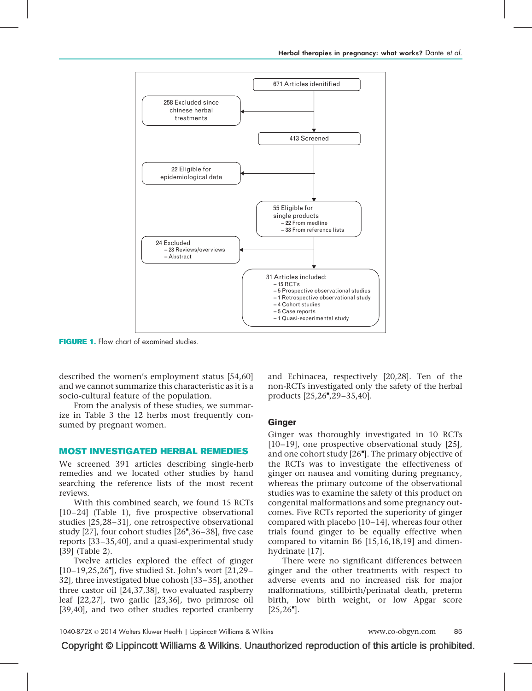

**FIGURE 1.** Flow chart of examined studies.

described the women's employment status [\[54,60\]](#page-8-0) and we cannot summarize this characteristic as it is a socio-cultural feature of the population.

From the analysis of these studies, we summarize in Table 3 the 12 herbs most frequently consumed by pregnant women.

## MOST INVESTIGATED HERBAL REMEDIES

We screened 391 articles describing single-herb remedies and we located other studies by hand searching the reference lists of the most recent reviews.

With this combined search, we found 15 RCTs [\[10–24\]](#page-7-0) (Table 1), five prospective observational studies [\[25,28–31\],](#page-7-0) one retrospective observational study [\[27\],](#page-8-0) four cohort studies [\[26](#page-8-0)",36-38], five case reports [\[33–35,40\],](#page-8-0) and a quasi-experimental study [\[39\]](#page-8-0) (Table 2).

Twelve articles explored the effect of ginger [10-19,25,26[\],](#page-7-0) five studied St. John's wort [21,29-[32\]](#page-7-0), three investigated blue cohosh [\[33–35\]](#page-8-0), another three castor oil [\[24,37,38\],](#page-7-0) two evaluated raspberry leaf [\[22,27\]](#page-7-0), two garlic [\[23,36\],](#page-7-0) two primrose oil [\[39,40\],](#page-8-0) and two other studies reported cranberry and Echinacea, respectively [\[20,28\]](#page-7-0). Ten of the non-RCTs investigated only the safety of the herbal products [\[25,26](#page-7-0)",29-35,40].

# **Ginger**

Ginger was thoroughly investigated in 10 RCTs [\[10–19\]](#page-7-0), one prospective observational study [\[25\]](#page-7-0), and one cohort study [\[26](#page-8-0)"[\].](#page-8-0) The primary objective of the RCTs was to investigate the effectiveness of ginger on nausea and vomiting during pregnancy, whereas the primary outcome of the observational studies was to examine the safety of this product on congenital malformations and some pregnancy outcomes. Five RCTs reported the superiority of ginger compared with placebo [\[10–14\],](#page-7-0) whereas four other trials found ginger to be equally effective when compared to vitamin B6 [\[15,16,18,19\]](#page-7-0) and dimenhydrinate [\[17\].](#page-7-0)

There were no significant differences between ginger and the other treatments with respect to adverse events and no increased risk for major malformations, stillbirth/perinatal death, preterm birth, low birth weight, or low Apgar score  $[25, 26$ <sup>\*</sup>[\].](#page-7-0)

1040-872X 2014 Wolters Kluwer Health | Lippincott Williams & Wilkins www.co-obgyn.com 85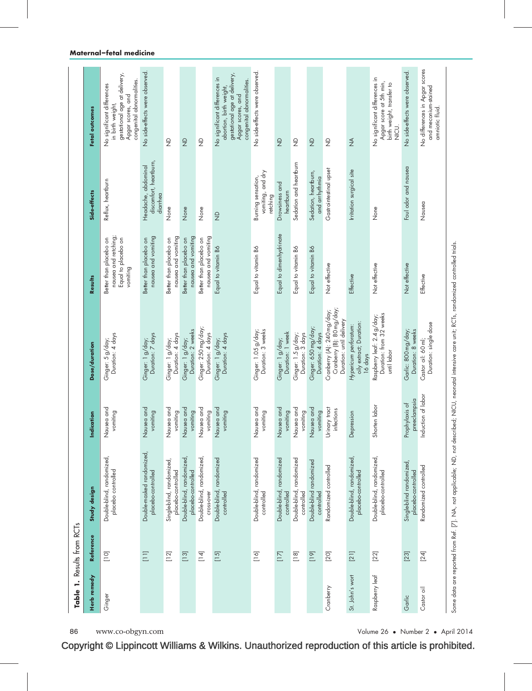| Herb remedy     | Reference                             | Study design                                    | Indication                     | Dose/duration                                                                       | Results                                                                           | <b>Side-effects</b>                                       | Fetal outcomes                                                                                                                             |
|-----------------|---------------------------------------|-------------------------------------------------|--------------------------------|-------------------------------------------------------------------------------------|-----------------------------------------------------------------------------------|-----------------------------------------------------------|--------------------------------------------------------------------------------------------------------------------------------------------|
| Ginger          | $[10]$                                | Double-blind, randomized,<br>placebo controlled | Nausea and<br>vomiting         | Duration: 4 days<br>Ginger: 5 g/day;                                                | nausea and retching;<br>Equal to placebo on<br>Better than placebo on<br>vomiting | Reflux, heartburn                                         | gestational age at delivery,<br>congenital abnormalities.<br>No significant differences<br>Apgar scores, and<br>in birth weight,           |
|                 | E                                     | Double-masked randomized<br>placebo-controlled  | Nausea and<br>vomiting         | Duration: 7 days<br>Ginger: 1 g/day;                                                | nausea and vomiting<br>Better than placebo on                                     | discomfort, heartburn,<br>Headache, abdominal<br>diarrhea | No side-effects were observed.                                                                                                             |
|                 | $\boxed{12}$                          | Single-blind, randomized,<br>placebo-controlled | Nausea and<br>vomiting         | Duration: 4 days<br>Ginger: 1 g/day;                                                | nausea and vomiting<br>Better than placebo on                                     | None                                                      | $\frac{1}{2}$                                                                                                                              |
|                 | $[13]$                                | Double-blind, randomized,<br>placebo-controlled | Nausea and<br>vomiting         | Ginger: 1 g/day;<br>Duration: 2 weeks                                               | nausea and vomiting<br>Better than placebo on                                     | None                                                      | $\frac{\Omega}{Z}$                                                                                                                         |
|                 | $\overline{14}$                       | Double-blind, randomized,<br>cross-over         | Nausea and<br>vomiting         | Ginger: 250 mg/day;<br>Duration: 4 days                                             | nausea and vomiting<br>Better than placebo on                                     | None                                                      | $\frac{\Omega}{Z}$                                                                                                                         |
|                 | $[15]$                                | Double-blind, randomized<br>controlled          | Nausea and<br>vomiting         | Duration: 4 days<br>Ginger: 1 g/day;                                                | Equal to vitamin B6                                                               | $\frac{\Omega}{Z}$                                        | gestational age at delivery,<br>No significant differences in<br>congenital abnormalities.<br>abortion, birth weight,<br>Apgar scores, and |
|                 | $\overline{[6]}$                      | Double-blind, randomized<br>controlled          | Nausea and<br>vomiting         | Duration: 3 weeks<br>Ginger: 1.05 g/day;                                            | Equal to vitamin B6                                                               | vomiting, and dry<br>Burning sensation,<br>retching       | No side-effects were observed.                                                                                                             |
|                 | $[17]$                                | Double-blind, randomized<br>controlled          | Nausea and<br>vomiting         | Duration: 1 week<br>Ginger: 1 g/day;                                                | Equal to dimenhydrinate                                                           | Drowsiness and<br>heartburn                               | $\frac{1}{2}$                                                                                                                              |
|                 | $\begin{bmatrix} 1 & 8 \end{bmatrix}$ | Double-blind, randomized<br>controlled          | Nausea and<br>vomiting         | Duration: 3 days<br>Ginger: 1.5 g/day;                                              | Equal to vitamin B6                                                               | Sedation and heartburn                                    | $\frac{\Omega}{Z}$                                                                                                                         |
|                 | $[19]$                                | Double-blind randomized<br>controlled           | Nausea and<br>vomiting         | Ginger: 650 mg/day;<br>Duration: 4 days                                             | Equal to vitamin B6                                                               | Sedation, heartburn,<br>and arrhythmia                    | $\frac{1}{2}$                                                                                                                              |
| Cranberry       | [20]                                  | Randomized controlled                           | Urinary tract<br>infections    | Cranberry [B]: 80 mg/day;<br>Cranberry (A): 240 mg/day;<br>Duration: until delivery | Not effective                                                                     | Gastrointestinal upset                                    | $\frac{\Omega}{Z}$                                                                                                                         |
| St. John's wort | $[21]$                                | Double-blind, randomized,<br>placebo-controlled | Depression                     | oily extract; Duration:<br>Hypericum perforatum:<br>16 days                         | Effective                                                                         | Irritation surgical site                                  | $\frac{4}{2}$                                                                                                                              |
| Raspberry leaf  | $[22]$                                | Double-blind, randomized,<br>placebo-controlled | Shorten labor                  | Duration: from 32 weeks<br>Raspberry leaf: 2.4 g/day;<br>until labor                | Not effective                                                                     | None                                                      | No significant differences in<br>Apgar score at 5th min,<br>birth weight, transfer to<br>NICU.                                             |
| Garlic          | $[23]$                                | Single-blind randomized,<br>placebo-controlled  | preeclampsia<br>Prophylaxis of | Garlic: 800 mg/day;<br>Duration: 8 weeks                                            | Not effective                                                                     | Foul odor and nausea                                      | No side-effects were observed.                                                                                                             |
| Castor oil      | $[24]$                                | Randomized controlled                           | Induction of labor             | Duration: single dose<br>Castor oil: 60 ml                                          | Effective                                                                         | Nausea                                                    | No differences in Apgar scores<br>and meconium-stained<br>amniotic fluid.                                                                  |

#### Maternal–fetal medicine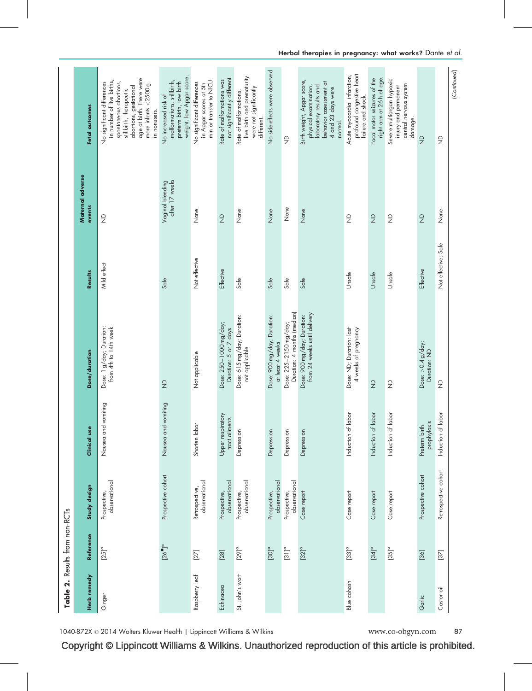| Herb remedy     | Reference        | Study design                    | <b>Clinical use</b>                      | Dose/duration                                               | Results             | Maternal adverse<br>events         | Fetal outcomes                                                                                                                                                                                                |
|-----------------|------------------|---------------------------------|------------------------------------------|-------------------------------------------------------------|---------------------|------------------------------------|---------------------------------------------------------------------------------------------------------------------------------------------------------------------------------------------------------------|
| Ginger          | $[25]^\circ$     | observational<br>Prospective,   | nd vomiting<br>Nausea ar                 | Dose: 1 g/day; Duration:<br>from 4th to 14th week           | Mild effect         | £                                  | age at birth. There were<br>in number of live births,<br>spontaneous abortions,<br>No significant differences<br>more infants $<$ 2500 g<br>abortions, gestational<br>stillbirth, therapeutic<br>in nonusers. |
|                 | $[26$ $]^\alpha$ | Prospective cohort              | Nausea and vomiting                      | g                                                           | Safe                | Vaginal bleeding<br>after 17 weeks | weight, low Apgar score.<br>malformations, stillbirth,<br>preterm birth, low birth<br>No increased risk of                                                                                                    |
| Raspberry leaf  | $[27]$           | observational<br>Retrospective, | Shorten labor                            | Not applicable                                              | Not effective       | None                               | min or transfer to NICU.<br>No significant differences<br>in Apgar scores at 5th                                                                                                                              |
| Echinacea       | $[28]$           | observational<br>Prospective,   | Upper respiratory<br>tract ailments      | Dose: 250-1000 mg/day;<br>Duration: 5 or 7 days             | Effective           | $\frac{\Omega}{\Sigma}$            | not significantly different.<br>Rate of malformations was                                                                                                                                                     |
| St. John's wort | $[29]^\circ$     | observational<br>Prospective,   | Depression                               | Dose: 615 mg/day; Duration:<br>not applicable               | Safe                | None                               | live birth and prematurity<br>were not significantly<br>Rate of malformations,<br>different.                                                                                                                  |
|                 | $[30]^\circ$     | observational<br>Prospective,   | Depression                               | Dose: 900 mg/day; Duration:<br>at least 4 weeks             | Safe                | None                               | No side-effects were observed                                                                                                                                                                                 |
|                 | $[31]^\circ$     | observational<br>Prospective,   | Depression                               | Duration: 4 months (median)<br>Dose: 225-2150 mg/day;       | Safe                | None                               | $\frac{\Omega}{\Delta}$                                                                                                                                                                                       |
|                 | $[32]^\circ$     | Case report                     | Depression                               | from 24 weeks until delivery<br>Dose: 900 mg/day; Duration: | Safe                | None                               | Birth weight, Apgar score,<br>behavior assessment at<br>physical examination,<br>laboratory results and<br>4 and 23 days were<br>normal.                                                                      |
| Blue cohosh     | $[33]^\circ$     | Case report                     | Induction of labor                       | Dose: ND; Duration: last<br>4 weeks of pregnancy            | Unsafe              | £                                  | profound congestive heart<br>Acute myocardial infarction,<br>failure and shock.                                                                                                                               |
|                 | $[34]^\circ$     | Case report                     | Induction of labor                       | $\frac{1}{2}$                                               | Unsafe              | $\frac{\Omega}{\Sigma}$            | Focal motor seizures of the<br>right arm at 26h of age.                                                                                                                                                       |
|                 | $[35]^\circ$     | Case report                     | Induction of labor                       | $\frac{\Omega}{\Sigma}$                                     | Unsafe              | ₿                                  | Severe multiorgan hypoxic<br>central nervous system<br>injury and permanent<br>damage.                                                                                                                        |
| Garlic          | [36]             | Prospective cohort              | prophylaxis<br>$\ddot{+}$<br>Preterm bir | Dose: $>0.4$ g/day;<br>Duration: ND                         | Effective           | $\frac{\Omega}{\Sigma}$            | $\frac{1}{2}$                                                                                                                                                                                                 |
| Castor oil      | [37]             | Retrospective cohort            | Induction of labor                       | £                                                           | Not effective; Safe | None                               | $\frac{\Omega}{\Sigma}$                                                                                                                                                                                       |

Herbal therapies in pregnancy: what works? Dante et al.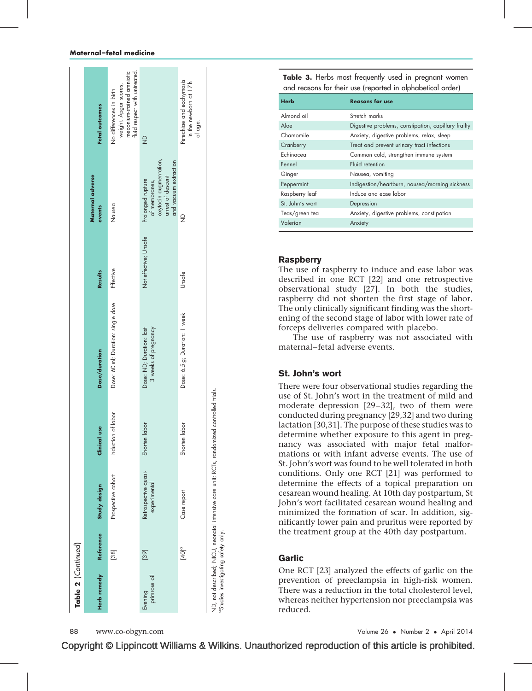| Table 2 (Continued)                 |                                       |                                                                         |                         |                                                  |                       |                                                                                                            |                                                                                                                |
|-------------------------------------|---------------------------------------|-------------------------------------------------------------------------|-------------------------|--------------------------------------------------|-----------------------|------------------------------------------------------------------------------------------------------------|----------------------------------------------------------------------------------------------------------------|
| Herb remedy                         | Reference                             | Study design                                                            | <b>Clinical</b> use     | Dose/duration                                    | <b>Results</b>        | Maternal adverse<br>events                                                                                 | Fetal outcomes                                                                                                 |
|                                     | $\begin{bmatrix} 3 & 8 \end{bmatrix}$ | Prospective cohort                                                      | f labor<br>Induction of | Dose: 60 ml; Duration: single dose               | Effective             | Nausea                                                                                                     | fluid respect with untreated.<br>meconium-stained amniotic<br>weight, Apgar scores,<br>No differences in birth |
| primrose oil<br>Evening             | $[39]$                                | Retrospective quasi-<br>experimental                                    | Shorten labor           | 3 weeks of pregnancy<br>Dose: ND; Duration: last | Not effective; Unsafe | oxytocin augmentation,<br>and vacuum extraction<br>arrest of descent<br>Prolonged rupture<br>of membranes, | $\overline{z}$                                                                                                 |
|                                     | $[40]^\circ$                          | Case report                                                             | Shorten labor           | Dose: 6.5g; Duration: 1 week                     | Unsafe                | $\frac{1}{2}$                                                                                              | Petechiae and ecchymosis<br>in the newborn at 17h<br>of age.                                                   |
| "Studies investigating safety only. |                                       | ND, not described; NICU, neonatal intensive care unit; RCTs, randomized | controlled trials.      |                                                  |                       |                                                                                                            |                                                                                                                |

Table 3. Herbs most frequently used in pregnant women and reasons for their use (reported in alphabetical order)

| <b>Reasons for use</b>                              |
|-----------------------------------------------------|
| Stretch marks                                       |
| Digestive problems, constipation, capillary frailty |
| Anxiety, digestive problems, relax, sleep           |
| Treat and prevent urinary tract infections          |
| Common cold, strengthen immune system               |
| Fluid retention                                     |
| Nausea, vomiting                                    |
| Indigestion/heartburn, nausea/morning sickness      |
| Induce and ease labor                               |
| Depression                                          |
| Anxiety, digestive problems, constipation           |
| Anxiety                                             |
|                                                     |

# **Raspberry**

The use of raspberry to induce and ease labor was described in one RCT [\[22\]](#page-7-0) and one retrospective observational study [\[27\].](#page-8-0) In both the studies, raspberry did not shorten the first stage of labor. The only clinically significant finding was the shortening of the second stage of labor with lower rate of forceps deliveries compared with placebo.

The use of raspberry was not associated with maternal– fetal adverse events.

# St. John's wort

There were four observational studies regarding the use of St. John's wort in the treatment of mild and moderate depression [\[29–32\],](#page-8-0) two of them were conducted during pregnancy [\[29,32\]](#page-8-0) and two during lactation [\[30,31\]](#page-8-0). The purpose of these studies was to determine whether exposure to this agent in pregnancy was associated with major fetal malformations or with infant adverse events. The use of St. John's wort was found to be well tolerated in both conditions. Only one RCT [\[21\]](#page-7-0) was performed to determine the effects of a topical preparation on cesarean wound healing. At 10th day postpartum, St John's wort facilitated cesarean wound healing and minimized the formation of scar. In addition, significantly lower pain and pruritus were reported by the treatment group at the 40th day postpartum.

# **Garlic**

One RCT [\[23\]](#page-7-0) analyzed the effects of garlic on the prevention of preeclampsia in high-risk women. There was a reduction in the total cholesterol level, whereas neither hypertension nor preeclampsia was reduced.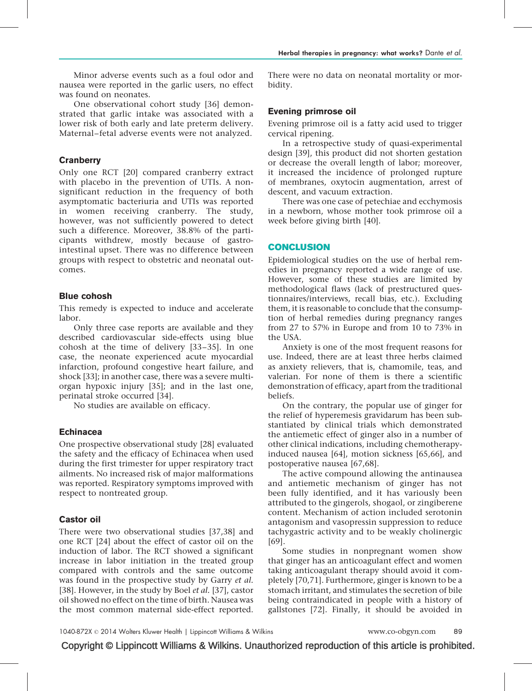Minor adverse events such as a foul odor and nausea were reported in the garlic users, no effect was found on neonates.

One observational cohort study [\[36\]](#page-8-0) demonstrated that garlic intake was associated with a lower risk of both early and late preterm delivery. Maternal–fetal adverse events were not analyzed.

# **Cranberry**

Only one RCT [\[20\]](#page-7-0) compared cranberry extract with placebo in the prevention of UTIs. A nonsignificant reduction in the frequency of both asymptomatic bacteriuria and UTIs was reported in women receiving cranberry. The study, however, was not sufficiently powered to detect such a difference. Moreover, 38.8% of the participants withdrew, mostly because of gastrointestinal upset. There was no difference between groups with respect to obstetric and neonatal outcomes.

# Blue cohosh

This remedy is expected to induce and accelerate labor.

Only three case reports are available and they described cardiovascular side-effects using blue cohosh at the time of delivery [\[33–35\].](#page-8-0) In one case, the neonate experienced acute myocardial infarction, profound congestive heart failure, and shock [\[33\]](#page-8-0); in another case, there was a severe multiorgan hypoxic injury [\[35\]](#page-8-0); and in the last one, perinatal stroke occurred [\[34\]](#page-8-0).

No studies are available on efficacy.

# Echinacea

One prospective observational study [\[28\]](#page-8-0) evaluated the safety and the efficacy of Echinacea when used during the first trimester for upper respiratory tract ailments. No increased risk of major malformations was reported. Respiratory symptoms improved with respect to nontreated group.

# Castor oil

There were two observational studies [\[37,38\]](#page-8-0) and one RCT [\[24\]](#page-7-0) about the effect of castor oil on the induction of labor. The RCT showed a significant increase in labor initiation in the treated group compared with controls and the same outcome was found in the prospective study by Garry et al. [\[38\].](#page-8-0) However, in the study by Boel et al. [\[37\],](#page-8-0) castor oil showed no effect on the time of birth. Nausea was the most common maternal side-effect reported.

There were no data on neonatal mortality or morbidity.

## Evening primrose oil

Evening primrose oil is a fatty acid used to trigger cervical ripening.

In a retrospective study of quasi-experimental design [\[39\],](#page-8-0) this product did not shorten gestation or decrease the overall length of labor; moreover, it increased the incidence of prolonged rupture of membranes, oxytocin augmentation, arrest of descent, and vacuum extraction.

There was one case of petechiae and ecchymosis in a newborn, whose mother took primrose oil a week before giving birth [\[40\].](#page-8-0)

# **CONCLUSION**

Epidemiological studies on the use of herbal remedies in pregnancy reported a wide range of use. However, some of these studies are limited by methodological flaws (lack of prestructured questionnaires/interviews, recall bias, etc.). Excluding them, it is reasonable to conclude that the consumption of herbal remedies during pregnancy ranges from 27 to 57% in Europe and from 10 to 73% in the USA.

Anxiety is one of the most frequent reasons for use. Indeed, there are at least three herbs claimed as anxiety relievers, that is, chamomile, teas, and valerian. For none of them is there a scientific demonstration of efficacy, apart from the traditional beliefs.

On the contrary, the popular use of ginger for the relief of hyperemesis gravidarum has been substantiated by clinical trials which demonstrated the antiemetic effect of ginger also in a number of other clinical indications, including chemotherapyinduced nausea [\[64\]](#page-8-0), motion sickness [\[65,66\],](#page-8-0) and postoperative nausea [\[67,68\].](#page-8-0)

The active compound allowing the antinausea and antiemetic mechanism of ginger has not been fully identified, and it has variously been attributed to the gingerols, shogaol, or zingiberene content. Mechanism of action included serotonin antagonism and vasopressin suppression to reduce tachygastric activity and to be weakly cholinergic [\[69\]](#page-8-0).

Some studies in nonpregnant women show that ginger has an anticoagulant effect and women taking anticoagulant therapy should avoid it completely [\[70,71\].](#page-8-0) Furthermore, ginger is known to be a stomach irritant, and stimulates the secretion of bile being contraindicated in people with a history of gallstones [\[72\].](#page-8-0) Finally, it should be avoided in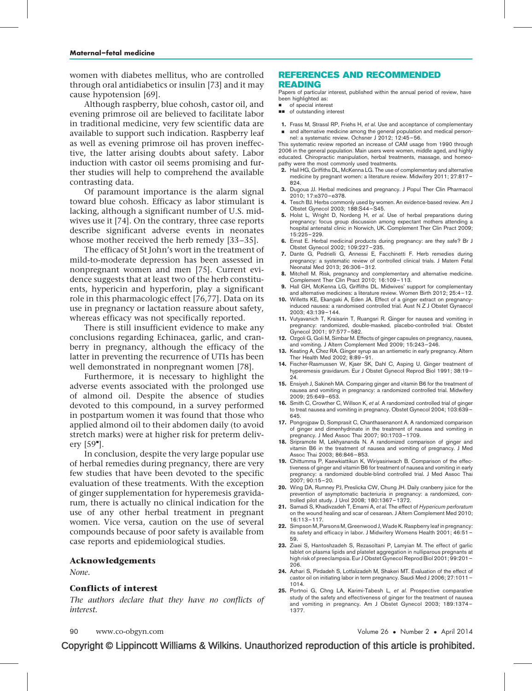<span id="page-7-0"></span>women with diabetes mellitus, who are controlled through oral antidiabetics or insulin [\[73\]](#page-8-0) and it may cause hypotension [\[69\].](#page-8-0)

Although raspberry, blue cohosh, castor oil, and evening primrose oil are believed to facilitate labor in traditional medicine, very few scientific data are available to support such indication. Raspberry leaf as well as evening primrose oil has proven ineffective, the latter arising doubts about safety. Labor induction with castor oil seems promising and further studies will help to comprehend the available contrasting data.

Of paramount importance is the alarm signal toward blue cohosh. Efficacy as labor stimulant is lacking, although a significant number of U.S. midwives use it [\[74\]](#page-8-0). On the contrary, three case reports describe significant adverse events in neonates whose mother received the herb remedy [\[33–35\].](#page-8-0)

The efficacy of St John's wort in the treatment of mild-to-moderate depression has been assessed in nonpregnant women and men [\[75\].](#page-8-0) Current evidence suggests that at least two of the herb constituents, hypericin and hyperforin, play a significant role in this pharmacologic effect [\[76,77\].](#page-8-0) Data on its use in pregnancy or lactation reassure about safety, whereas efficacy was not specifically reported.

There is still insufficient evidence to make any conclusions regarding Echinacea, garlic, and cranberry in pregnancy, although the efficacy of the latter in preventing the recurrence of UTIs has been well demonstrated in nonpregnant women [\[78\].](#page-8-0)

Furthermore, it is necessary to highlight the adverse events associated with the prolonged use of almond oil. Despite the absence of studies devoted to this compound, in a survey performed in postpartum women it was found that those who applied almond oil to their abdomen daily (to avoid stretch marks) were at higher risk for preterm deliv-ery [\[59](#page-8-0)"[\]](#page-8-0).

In conclusion, despite the very large popular use of herbal remedies during pregnancy, there are very few studies that have been devoted to the specific evaluation of these treatments. With the exception of ginger supplementation for hyperemesis gravidarum, there is actually no clinical indication for the use of any other herbal treatment in pregnant women. Vice versa, caution on the use of several compounds because of poor safety is available from case reports and epidemiological studies.

#### Acknowledgements

None.

## Conflicts of interest

The authors declare that they have no conflicts of interest.

## REFERENCES AND RECOMMENDED READING

Papers of particular interest, published within the annual period of review, have been highlighted as:

- of special interest
- $\Box$  of outstanding interest
- 1. Frass M, Strassl RP, Friehs H, et al. Use and acceptance of complementary & and alternative medicine among the general population and medical personnel: a systematic review. Ochsner J 2012; 12:45–56.

This systematic review reported an increase of CAM usage from 1990 through 2006 in the general population. Main users were women, middle aged, and highly educated. Chiropractic manipulation, herbal treatments, massage, and homeopathy were the most commonly used treatments.

- 2. Hall HG, Griffiths DL, McKenna LG. The use of complementary and alternative medicine by pregnant women: a literature review. Midwifery 2011; 27:817– 824.
- 3. Dugoua JJ. Herbal medicines and pregnancy. J Popul Ther Clin Pharmacol 2010; 17:e370–e378.
- 4. Tesch BJ. Herbs commonly used by women. An evidence-based review. Am J Obstet Gynecol 2003; 188:S44–S45.
- 5. Holst L, Wright D, Nordeng H, et al. Use of herbal preparations during pregnancy: focus group discussion among expectant mothers attending a hospital antenatal clinic in Norwich, UK. Complement Ther Clin Pract 2009; 15:225–229.
- 6. Ernst E. Herbal medicinal products during pregnancy: are they safe? Br J Obstet Gynecol 2002; 109:227–235.
- 7. Dante G, Pedrielli G, Annessi E, Facchinetti F. Herb remedies during pregnancy: a systematic review of controlled clinical trials. J Matern Fetal Neonatal Med 2013; 26:306–312.
- 8. Mitchell M. Risk, pregnancy and complementary and alternative medicine. Complement Ther Clin Pract 2010; 16:109–113.
- 9. Hall GH, McKenna LG, Griffiths DL. Midwives' support for complementary and alternative medicines: a literature review. Women Birth 2012; 25:4–12.
- 10. Willetts KE, Ekangaki A, Eden JA. Effect of a ginger extract on pregnancyinduced nausea: a randomised controlled trial. Aust N Z J Obstet Gynaecol 2003; 43:139–144.
- 11. Vutyavanich T, Kraisarin T, Ruangsri R. Ginger for nausea and vomiting in pregnancy: randomized, double-masked, placebo-controlled trial. Obstet Gynecol 2001; 97:577–582.
- 12. Ozgoli G, Goli M, Simbar M. Effects of ginger capsules on pregnancy, nausea, and vomiting. J Altern Complement Med 2009; 15:243–246.
- 13. Keating A, Chez RA. Ginger syrup as an antiemetic in early pregnancy. Altern Ther Health Med 2002; 8:89–91.
- 14. Fischer-Rasmussen W, Kjaer SK, Dahl C, Asping U. Ginger treatment of hyperemesis gravidarum. Eur J Obstet Gynecol Reprod Biol 1991; 38:19– 24.
- 15. Ensiyeh J, Sakineh MA. Comparing ginger and vitamin B6 for the treatment of nausea and vomiting in pregnancy: a randomized controlled trial. Midwifery 2009; 25:649–653.
- 16. Smith C, Crowther C, Willson K, et al. A randomized controlled trial of ginger to treat nausea and vomiting in pregnancy. Obstet Gynecol 2004; 103:639– 645.
- 17. Pongrojpaw D, Somprasit C, Chanthasenanont A. A randomized comparison of ginger and dimenhydrinate in the treatment of nausea and vomiting in pregnancy. J Med Assoc Thai 2007; 90:1703–1709.
- 18. Sripramote M, Lekhyananda N. A randomized comparison of ginger and vitamin B6 in the treatment of nausea and vomiting of pregnancy. J Med Assoc Thai 2003; 86:846–853.
- 19. Chittumma P, Kaewkiattikun K, Wiriyasiriwach B. Comparison of the effectiveness of ginger and vitamin B6 for treatment of nausea and vomiting in early pregnancy: a randomized double-blind controlled trial. J Med Assoc Thai 2007; 90:15–20.
- 20. Wing DA, Rumney PJ, Preslicka CW, Chung JH. Daily cranberry juice for the prevention of asymptomatic bacteriuria in pregnancy: a randomized, controlled pilot study. J Urol 2008; 180:1367–1372.
- 21. Samadi S, Khadivzadeh T, Emami A, et al. The effect of Hypericum perforatum on the wound healing and scar of cesarean. J Altern Complement Med 2010; 16:113–117.
- 22. Simpson M, Parsons M, Greenwood J, Wade K, Raspberry leaf in pregnancy: its safety and efficacy in labor. J Midwifery Womens Health 2001; 46:51– 59.
- 23. Ziaei S, Hantoshzadeh S, Rezasoltani P, Lamyian M. The effect of garlic tablet on plasma lipids and platelet aggregation in nulliparous pregnants at high risk of preeclampsia. Eur J Obstet Gynecol Reprod Biol 2001; 99:201–  $206$
- 24. Azhari S, Pirdadeh S, Lotfalizadeh M, Shakeri MT. Evaluation of the effect of castor oil on initiating labor in term pregnancy. Saudi Med J 2006; 27:1011– 1014.
- 25. Portnoi G, Chng LA, Karimi-Tabesh L, et al. Prospective comparative study of the safety and effectiveness of ginger for the treatment of nausea and vomiting in pregnancy. Am J Obstet Gynecol 2003; 189:1374– 1377.

90 www.co-obgyn.com Volume 26 Number 2 April 2014